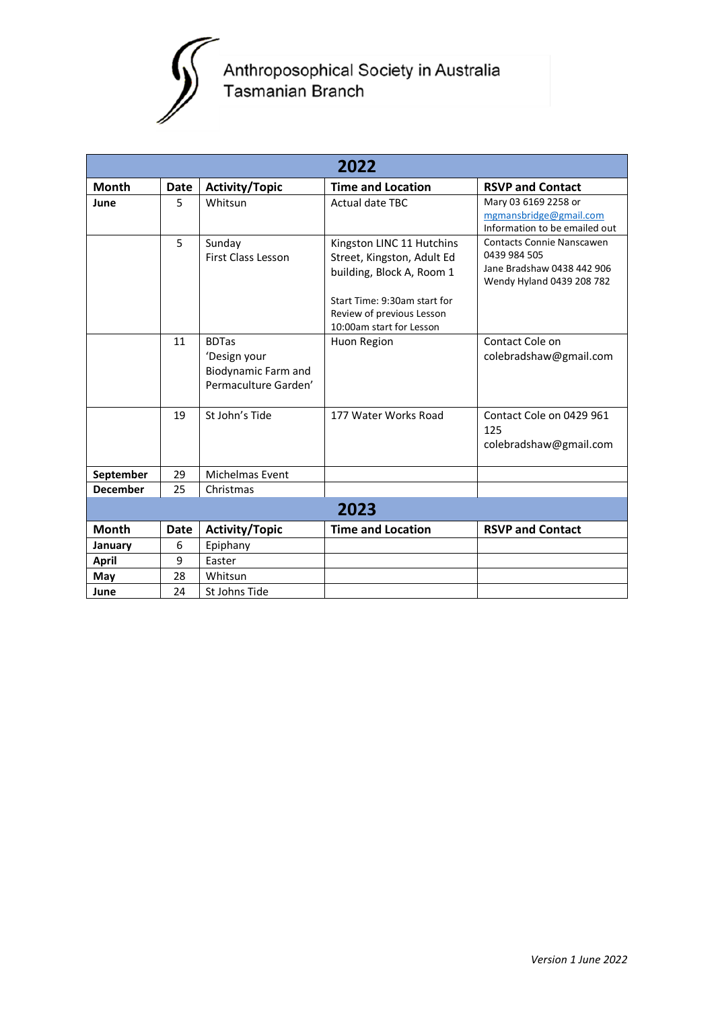

## Anthroposophical Society in Australia<br>Tasmanian Branch

| 2022            |             |                                                                             |                                                                                                                                                                               |                                                                                                      |
|-----------------|-------------|-----------------------------------------------------------------------------|-------------------------------------------------------------------------------------------------------------------------------------------------------------------------------|------------------------------------------------------------------------------------------------------|
| <b>Month</b>    | <b>Date</b> | <b>Activity/Topic</b>                                                       | <b>Time and Location</b>                                                                                                                                                      | <b>RSVP and Contact</b>                                                                              |
| June            | 5           | Whitsun                                                                     | <b>Actual date TBC</b>                                                                                                                                                        | Mary 03 6169 2258 or<br>mgmansbridge@gmail.com<br>Information to be emailed out                      |
|                 | 5           | Sunday<br><b>First Class Lesson</b>                                         | Kingston LINC 11 Hutchins<br>Street, Kingston, Adult Ed<br>building, Block A, Room 1<br>Start Time: 9:30am start for<br>Review of previous Lesson<br>10:00am start for Lesson | Contacts Connie Nanscawen<br>0439 984 505<br>Jane Bradshaw 0438 442 906<br>Wendy Hyland 0439 208 782 |
|                 | 11          | <b>BDTas</b><br>'Design your<br>Biodynamic Farm and<br>Permaculture Garden' | Huon Region                                                                                                                                                                   | Contact Cole on<br>colebradshaw@gmail.com                                                            |
|                 | 19          | St John's Tide                                                              | 177 Water Works Road                                                                                                                                                          | Contact Cole on 0429 961<br>125<br>colebradshaw@gmail.com                                            |
| September       | 29          | Michelmas Event                                                             |                                                                                                                                                                               |                                                                                                      |
| <b>December</b> | 25          | Christmas                                                                   |                                                                                                                                                                               |                                                                                                      |
| 2023            |             |                                                                             |                                                                                                                                                                               |                                                                                                      |
| <b>Month</b>    | <b>Date</b> | <b>Activity/Topic</b>                                                       | <b>Time and Location</b>                                                                                                                                                      | <b>RSVP and Contact</b>                                                                              |
| January         | 6           | Epiphany                                                                    |                                                                                                                                                                               |                                                                                                      |
| <b>April</b>    | 9           | Easter                                                                      |                                                                                                                                                                               |                                                                                                      |
| May             | 28          | Whitsun                                                                     |                                                                                                                                                                               |                                                                                                      |
| June            | 24          | St Johns Tide                                                               |                                                                                                                                                                               |                                                                                                      |